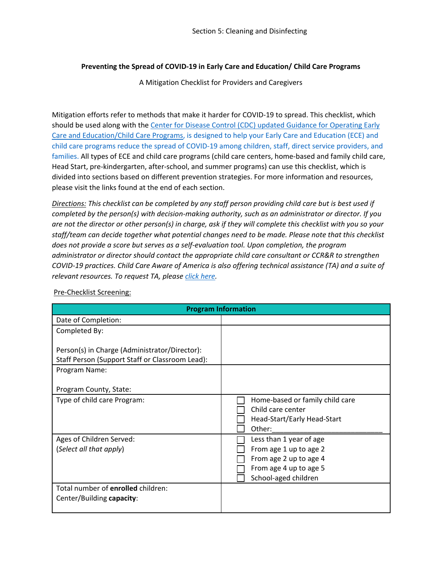## **Preventing the Spread of COVID-19 in Early Care and Education/ Child Care Programs**

A Mitigation Checklist for Providers and Caregivers

Mitigation efforts refer to methods that make it harder for COVID-19 to spread. This checklist, which should be used along with the Center for [Disease Control \(CDC\) updated Guidance for Operating Early](https://www.cdc.gov/coronavirus/2019-ncov/community/schools-childcare/child-care-guidance.html)  [Care and Education/Child Care Programs,](https://www.cdc.gov/coronavirus/2019-ncov/community/schools-childcare/child-care-guidance.html) is designed to help your Early Care and Education (ECE) and child care programs reduce the spread of COVID-19 among children, staff, direct service providers, and families. All types of ECE and child care programs (child care centers, home-based and family child care, Head Start, pre-kindergarten, after-school, and summer programs) can use this checklist, which is divided into sections based on different prevention strategies. For more information and resources, please visit the links found at the end of each section.

*Directions: This checklist can be completed by any staff person providing child care but is best used if completed by the person(s) with decision-making authority, such as an administrator or director. If you are not the director or other person(s) in charge, ask if they will complete this checklist with you so your staff/team can decide together what potential changes need to be made. Please note that this checklist does not provide a score but serves as a self-evaluation tool. Upon completion, the program administrator or director should contact the appropriate child care consultant or CCR&R to strengthen COVID-19 practices. Child Care Aware of America is also offering technical assistance (TA) and a suite of relevant resources. To request TA, please [click here.](https://info.childcareaware.org/request-technical-assistance-from-ccaoa)* 

| <b>Program Information</b>                                                                       |                                                                                               |  |  |  |
|--------------------------------------------------------------------------------------------------|-----------------------------------------------------------------------------------------------|--|--|--|
| Date of Completion:                                                                              |                                                                                               |  |  |  |
| Completed By:                                                                                    |                                                                                               |  |  |  |
| Person(s) in Charge (Administrator/Director):<br>Staff Person (Support Staff or Classroom Lead): |                                                                                               |  |  |  |
| Program Name:                                                                                    |                                                                                               |  |  |  |
| Program County, State:                                                                           |                                                                                               |  |  |  |
| Type of child care Program:                                                                      | Home-based or family child care<br>Child care center<br>Head-Start/Early Head-Start<br>Other: |  |  |  |
| Ages of Children Served:                                                                         | Less than 1 year of age                                                                       |  |  |  |
| (Select all that apply)                                                                          | From age 1 up to age 2                                                                        |  |  |  |
|                                                                                                  | From age 2 up to age 4                                                                        |  |  |  |
|                                                                                                  | From age 4 up to age 5                                                                        |  |  |  |
|                                                                                                  | School-aged children                                                                          |  |  |  |
| Total number of enrolled children:                                                               |                                                                                               |  |  |  |
| Center/Building capacity:                                                                        |                                                                                               |  |  |  |
|                                                                                                  |                                                                                               |  |  |  |

Pre-Checklist Screening: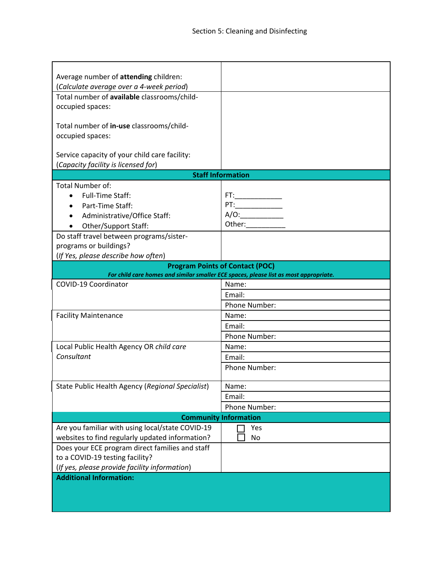| Average number of attending children:                                                 |                          |  |  |  |
|---------------------------------------------------------------------------------------|--------------------------|--|--|--|
| (Calculate average over a 4-week period)                                              |                          |  |  |  |
| Total number of available classrooms/child-                                           |                          |  |  |  |
| occupied spaces:                                                                      |                          |  |  |  |
| Total number of in-use classrooms/child-                                              |                          |  |  |  |
| occupied spaces:                                                                      |                          |  |  |  |
|                                                                                       |                          |  |  |  |
| Service capacity of your child care facility:                                         |                          |  |  |  |
| (Capacity facility is licensed for)                                                   |                          |  |  |  |
|                                                                                       | <b>Staff Information</b> |  |  |  |
| Total Number of:                                                                      |                          |  |  |  |
| <b>Full-Time Staff:</b>                                                               |                          |  |  |  |
| Part-Time Staff:                                                                      |                          |  |  |  |
| Administrative/Office Staff:                                                          | $A/O:$                   |  |  |  |
| Other/Support Staff:                                                                  | Other:                   |  |  |  |
| Do staff travel between programs/sister-                                              |                          |  |  |  |
| programs or buildings?                                                                |                          |  |  |  |
| (If Yes, please describe how often)                                                   |                          |  |  |  |
| <b>Program Points of Contact (POC)</b>                                                |                          |  |  |  |
| For child care homes and similar smaller ECE spaces, please list as most appropriate. |                          |  |  |  |
| COVID-19 Coordinator                                                                  | Name:                    |  |  |  |
|                                                                                       | Email:                   |  |  |  |
|                                                                                       | Phone Number:            |  |  |  |
| <b>Facility Maintenance</b>                                                           | Name:                    |  |  |  |
|                                                                                       | Email:                   |  |  |  |
|                                                                                       | Phone Number:            |  |  |  |
| Local Public Health Agency OR child care                                              | Name:                    |  |  |  |
| Consultant                                                                            | Email:                   |  |  |  |
|                                                                                       | Phone Number:            |  |  |  |
|                                                                                       |                          |  |  |  |
| State Public Health Agency (Regional Specialist)                                      | Name:                    |  |  |  |
|                                                                                       | Email:                   |  |  |  |
|                                                                                       | Phone Number:            |  |  |  |
| <b>Community Information</b>                                                          |                          |  |  |  |
| Are you familiar with using local/state COVID-19                                      | Yes                      |  |  |  |
| websites to find regularly updated information?                                       | No                       |  |  |  |
| Does your ECE program direct families and staff                                       |                          |  |  |  |
| to a COVID-19 testing facility?                                                       |                          |  |  |  |
| (If yes, please provide facility information)                                         |                          |  |  |  |
| <b>Additional Information:</b>                                                        |                          |  |  |  |
|                                                                                       |                          |  |  |  |
|                                                                                       |                          |  |  |  |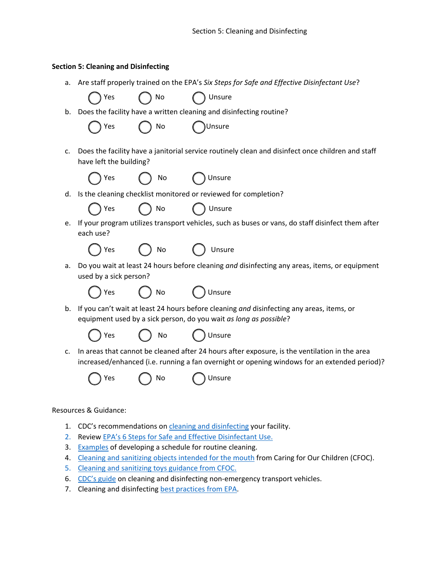## **Section 5: Cleaning and Disinfecting**

a. Are staff properly trained on the EPA's *Six Steps for Safe and Effective Disinfectant Use*?

|    | Yes                                                                                                                                                            | No | Unsure                                                                                                                                                                                        |
|----|----------------------------------------------------------------------------------------------------------------------------------------------------------------|----|-----------------------------------------------------------------------------------------------------------------------------------------------------------------------------------------------|
| b. | Does the facility have a written cleaning and disinfecting routine?                                                                                            |    |                                                                                                                                                                                               |
|    | Yes                                                                                                                                                            | No | Unsure                                                                                                                                                                                        |
| c. | Does the facility have a janitorial service routinely clean and disinfect once children and staff<br>have left the building?                                   |    |                                                                                                                                                                                               |
|    | Yes                                                                                                                                                            | No | Unsure                                                                                                                                                                                        |
| d. | Is the cleaning checklist monitored or reviewed for completion?                                                                                                |    |                                                                                                                                                                                               |
|    | Yes                                                                                                                                                            | No | Unsure                                                                                                                                                                                        |
| е. | each use?                                                                                                                                                      |    | If your program utilizes transport vehicles, such as buses or vans, do staff disinfect them after                                                                                             |
|    | Yes                                                                                                                                                            | No | Unsure                                                                                                                                                                                        |
| а. | Do you wait at least 24 hours before cleaning and disinfecting any areas, items, or equipment<br>used by a sick person?                                        |    |                                                                                                                                                                                               |
|    | Yes                                                                                                                                                            | No | Unsure                                                                                                                                                                                        |
| b. | If you can't wait at least 24 hours before cleaning and disinfecting any areas, items, or<br>equipment used by a sick person, do you wait as long as possible? |    |                                                                                                                                                                                               |
|    | Yes                                                                                                                                                            | No | Unsure                                                                                                                                                                                        |
| c. |                                                                                                                                                                |    | In areas that cannot be cleaned after 24 hours after exposure, is the ventilation in the area<br>increased/enhanced (i.e. running a fan overnight or opening windows for an extended period)? |
|    | Yes                                                                                                                                                            | No | Unsure                                                                                                                                                                                        |
|    |                                                                                                                                                                |    |                                                                                                                                                                                               |

## Resources & Guidance:

- 1. CDC's recommendations on [cleaning and disinfecting](https://www.cdc.gov/coronavirus/2019-ncov/community/disinfecting-building-facility.html) your facility.
- 2. Review [EPA's 6 Steps for Safe and Effective Disinfectant Use.](https://www.epa.gov/coronavirus/six-steps-safe-effective-disinfectant-use)
- 3. [Examples](https://nrckids.org/files/appendix/AppendixK.pdf) of developing a schedule for routine cleaning.
- 4. [Cleaning and sanitizing objects intended for the mouth](https://nrckids.org/CFOC/Database/3.3.0.3) from Caring for Our Children (CFOC).
- 5. [Cleaning and sanitizing toys](https://nrckids.org/CFOC/Database/3.3.0.2) guidance from CFOC.
- 6. [CDC's guide](https://www.cdc.gov/coronavirus/2019-ncov/community/organizations/disinfecting-transport-vehicles.html) on cleaning and disinfecting non-emergency transport vehicles.
- 7. Cleaning and disinfecting [best practices from EPA.](https://www.epa.gov/sites/production/files/2021-04/documents/cleaning-disinfecting-one-pager.pdf)